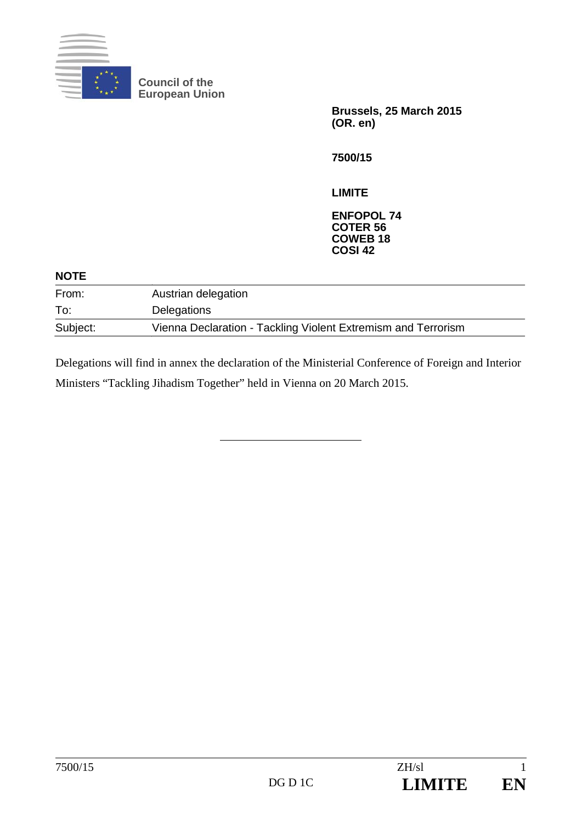

**Council of the European Union** 

> **Brussels, 25 March 2015 (OR. en)**

**7500/15** 

**LIMITE** 

**ENFOPOL 74 COTER 56 COWEB 18 COSI 42**

| Austrian delegation                                           |  |
|---------------------------------------------------------------|--|
| Delegations                                                   |  |
| Vienna Declaration - Tackling Violent Extremism and Terrorism |  |
|                                                               |  |

Delegations will find in annex the declaration of the Ministerial Conference of Foreign and Interior Ministers "Tackling Jihadism Together" held in Vienna on 20 March 2015.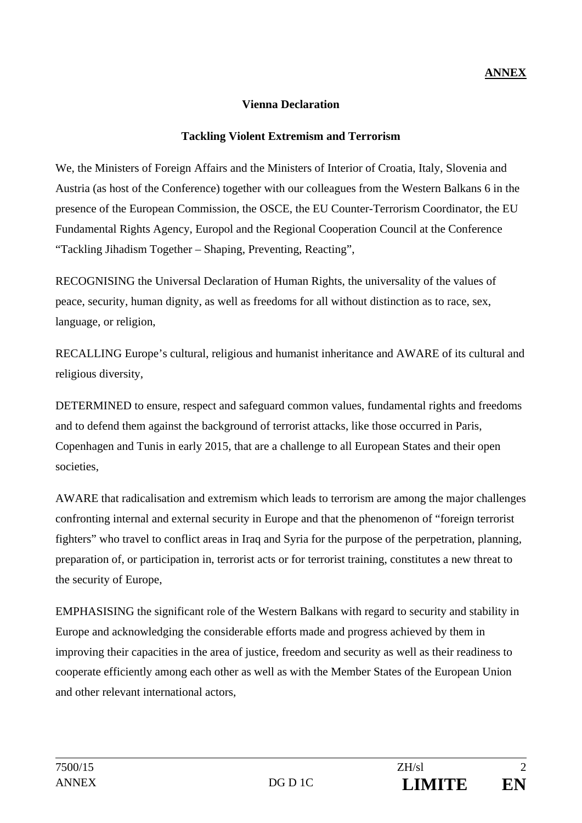### **Vienna Declaration**

### **Tackling Violent Extremism and Terrorism**

We, the Ministers of Foreign Affairs and the Ministers of Interior of Croatia, Italy, Slovenia and Austria (as host of the Conference) together with our colleagues from the Western Balkans 6 in the presence of the European Commission, the OSCE, the EU Counter-Terrorism Coordinator, the EU Fundamental Rights Agency, Europol and the Regional Cooperation Council at the Conference "Tackling Jihadism Together – Shaping, Preventing, Reacting",

RECOGNISING the Universal Declaration of Human Rights, the universality of the values of peace, security, human dignity, as well as freedoms for all without distinction as to race, sex, language, or religion,

RECALLING Europe's cultural, religious and humanist inheritance and AWARE of its cultural and religious diversity,

DETERMINED to ensure, respect and safeguard common values, fundamental rights and freedoms and to defend them against the background of terrorist attacks, like those occurred in Paris, Copenhagen and Tunis in early 2015, that are a challenge to all European States and their open societies.

AWARE that radicalisation and extremism which leads to terrorism are among the major challenges confronting internal and external security in Europe and that the phenomenon of "foreign terrorist fighters" who travel to conflict areas in Iraq and Syria for the purpose of the perpetration, planning, preparation of, or participation in, terrorist acts or for terrorist training, constitutes a new threat to the security of Europe,

EMPHASISING the significant role of the Western Balkans with regard to security and stability in Europe and acknowledging the considerable efforts made and progress achieved by them in improving their capacities in the area of justice, freedom and security as well as their readiness to cooperate efficiently among each other as well as with the Member States of the European Union and other relevant international actors,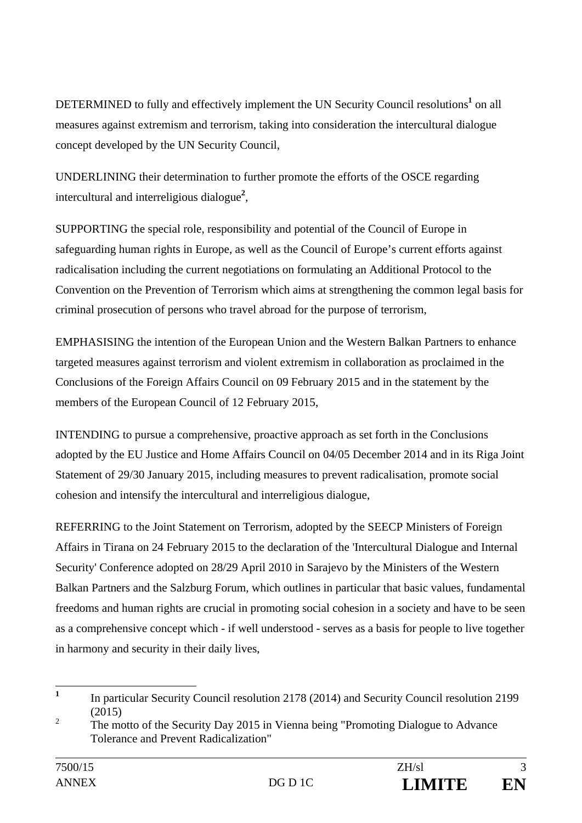DETERMINED to fully and effectively implement the UN Security Council resolutions<sup>1</sup> on all measures against extremism and terrorism, taking into consideration the intercultural dialogue concept developed by the UN Security Council,

UNDERLINING their determination to further promote the efforts of the OSCE regarding intercultural and interreligious dialogue**<sup>2</sup>** ,

SUPPORTING the special role, responsibility and potential of the Council of Europe in safeguarding human rights in Europe, as well as the Council of Europe's current efforts against radicalisation including the current negotiations on formulating an Additional Protocol to the Convention on the Prevention of Terrorism which aims at strengthening the common legal basis for criminal prosecution of persons who travel abroad for the purpose of terrorism,

EMPHASISING the intention of the European Union and the Western Balkan Partners to enhance targeted measures against terrorism and violent extremism in collaboration as proclaimed in the Conclusions of the Foreign Affairs Council on 09 February 2015 and in the statement by the members of the European Council of 12 February 2015,

INTENDING to pursue a comprehensive, proactive approach as set forth in the Conclusions adopted by the EU Justice and Home Affairs Council on 04/05 December 2014 and in its Riga Joint Statement of 29/30 January 2015, including measures to prevent radicalisation, promote social cohesion and intensify the intercultural and interreligious dialogue,

REFERRING to the Joint Statement on Terrorism, adopted by the SEECP Ministers of Foreign Affairs in Tirana on 24 February 2015 to the declaration of the 'Intercultural Dialogue and Internal Security' Conference adopted on 28/29 April 2010 in Sarajevo by the Ministers of the Western Balkan Partners and the Salzburg Forum, which outlines in particular that basic values, fundamental freedoms and human rights are crucial in promoting social cohesion in a society and have to be seen as a comprehensive concept which - if well understood - serves as a basis for people to live together in harmony and security in their daily lives,

 **1** In particular Security Council resolution 2178 (2014) and Security Council resolution 2199 (2015)

 $\overline{2}$  The motto of the Security Day 2015 in Vienna being "Promoting Dialogue to Advance Tolerance and Prevent Radicalization"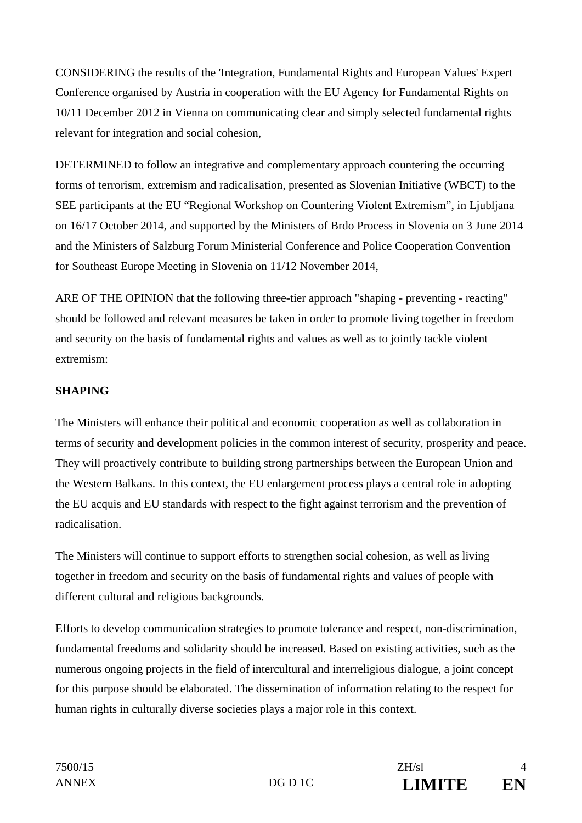CONSIDERING the results of the 'Integration, Fundamental Rights and European Values' Expert Conference organised by Austria in cooperation with the EU Agency for Fundamental Rights on 10/11 December 2012 in Vienna on communicating clear and simply selected fundamental rights relevant for integration and social cohesion,

DETERMINED to follow an integrative and complementary approach countering the occurring forms of terrorism, extremism and radicalisation, presented as Slovenian Initiative (WBCT) to the SEE participants at the EU "Regional Workshop on Countering Violent Extremism", in Ljubljana on 16/17 October 2014, and supported by the Ministers of Brdo Process in Slovenia on 3 June 2014 and the Ministers of Salzburg Forum Ministerial Conference and Police Cooperation Convention for Southeast Europe Meeting in Slovenia on 11/12 November 2014,

ARE OF THE OPINION that the following three-tier approach "shaping - preventing - reacting" should be followed and relevant measures be taken in order to promote living together in freedom and security on the basis of fundamental rights and values as well as to jointly tackle violent extremism:

# **SHAPING**

The Ministers will enhance their political and economic cooperation as well as collaboration in terms of security and development policies in the common interest of security, prosperity and peace. They will proactively contribute to building strong partnerships between the European Union and the Western Balkans. In this context, the EU enlargement process plays a central role in adopting the EU acquis and EU standards with respect to the fight against terrorism and the prevention of radicalisation.

The Ministers will continue to support efforts to strengthen social cohesion, as well as living together in freedom and security on the basis of fundamental rights and values of people with different cultural and religious backgrounds.

Efforts to develop communication strategies to promote tolerance and respect, non-discrimination, fundamental freedoms and solidarity should be increased. Based on existing activities, such as the numerous ongoing projects in the field of intercultural and interreligious dialogue, a joint concept for this purpose should be elaborated. The dissemination of information relating to the respect for human rights in culturally diverse societies plays a major role in this context.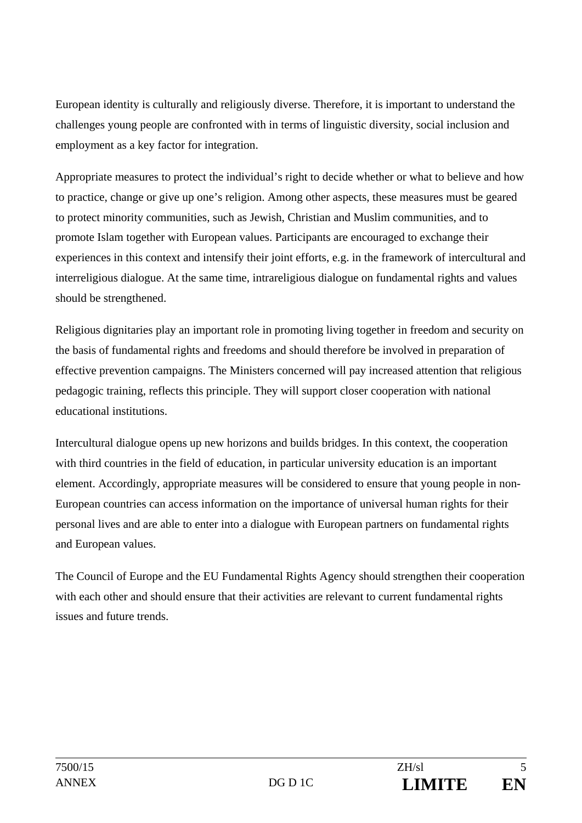European identity is culturally and religiously diverse. Therefore, it is important to understand the challenges young people are confronted with in terms of linguistic diversity, social inclusion and employment as a key factor for integration.

Appropriate measures to protect the individual's right to decide whether or what to believe and how to practice, change or give up one's religion. Among other aspects, these measures must be geared to protect minority communities, such as Jewish, Christian and Muslim communities, and to promote Islam together with European values. Participants are encouraged to exchange their experiences in this context and intensify their joint efforts, e.g. in the framework of intercultural and interreligious dialogue. At the same time, intrareligious dialogue on fundamental rights and values should be strengthened.

Religious dignitaries play an important role in promoting living together in freedom and security on the basis of fundamental rights and freedoms and should therefore be involved in preparation of effective prevention campaigns. The Ministers concerned will pay increased attention that religious pedagogic training, reflects this principle. They will support closer cooperation with national educational institutions.

Intercultural dialogue opens up new horizons and builds bridges. In this context, the cooperation with third countries in the field of education, in particular university education is an important element. Accordingly, appropriate measures will be considered to ensure that young people in non-European countries can access information on the importance of universal human rights for their personal lives and are able to enter into a dialogue with European partners on fundamental rights and European values.

The Council of Europe and the EU Fundamental Rights Agency should strengthen their cooperation with each other and should ensure that their activities are relevant to current fundamental rights issues and future trends.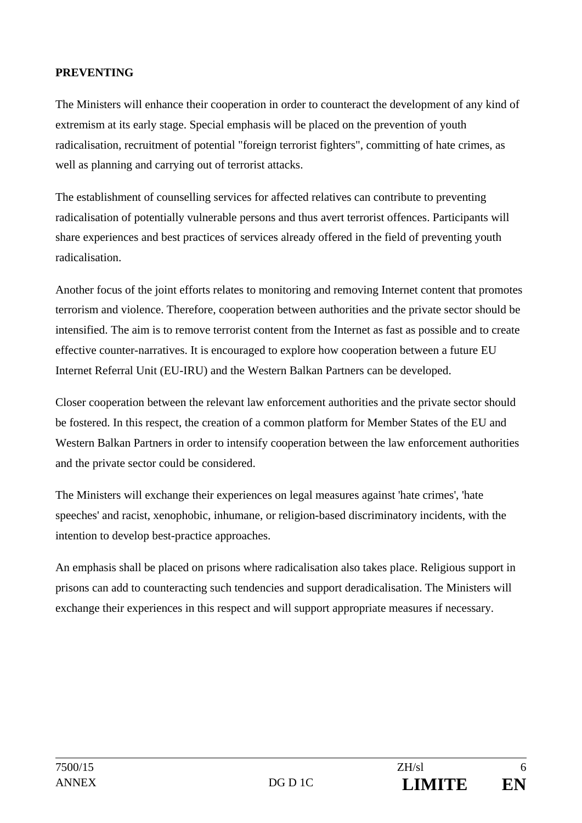### **PREVENTING**

The Ministers will enhance their cooperation in order to counteract the development of any kind of extremism at its early stage. Special emphasis will be placed on the prevention of youth radicalisation, recruitment of potential "foreign terrorist fighters", committing of hate crimes, as well as planning and carrying out of terrorist attacks.

The establishment of counselling services for affected relatives can contribute to preventing radicalisation of potentially vulnerable persons and thus avert terrorist offences. Participants will share experiences and best practices of services already offered in the field of preventing youth radicalisation.

Another focus of the joint efforts relates to monitoring and removing Internet content that promotes terrorism and violence. Therefore, cooperation between authorities and the private sector should be intensified. The aim is to remove terrorist content from the Internet as fast as possible and to create effective counter-narratives. It is encouraged to explore how cooperation between a future EU Internet Referral Unit (EU-IRU) and the Western Balkan Partners can be developed.

Closer cooperation between the relevant law enforcement authorities and the private sector should be fostered. In this respect, the creation of a common platform for Member States of the EU and Western Balkan Partners in order to intensify cooperation between the law enforcement authorities and the private sector could be considered.

The Ministers will exchange their experiences on legal measures against 'hate crimes', 'hate speeches' and racist, xenophobic, inhumane, or religion-based discriminatory incidents, with the intention to develop best-practice approaches.

An emphasis shall be placed on prisons where radicalisation also takes place. Religious support in prisons can add to counteracting such tendencies and support deradicalisation. The Ministers will exchange their experiences in this respect and will support appropriate measures if necessary.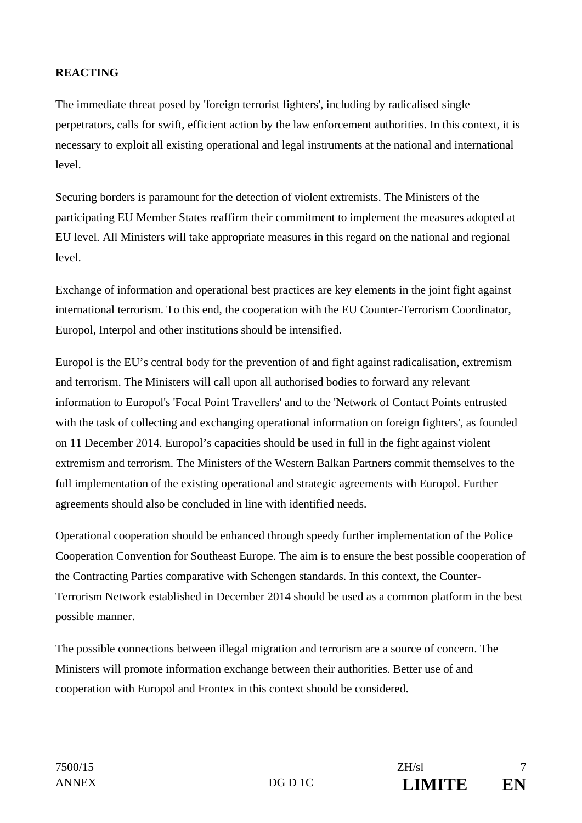## **REACTING**

The immediate threat posed by 'foreign terrorist fighters', including by radicalised single perpetrators, calls for swift, efficient action by the law enforcement authorities. In this context, it is necessary to exploit all existing operational and legal instruments at the national and international level.

Securing borders is paramount for the detection of violent extremists. The Ministers of the participating EU Member States reaffirm their commitment to implement the measures adopted at EU level. All Ministers will take appropriate measures in this regard on the national and regional level.

Exchange of information and operational best practices are key elements in the joint fight against international terrorism. To this end, the cooperation with the EU Counter-Terrorism Coordinator, Europol, Interpol and other institutions should be intensified.

Europol is the EU's central body for the prevention of and fight against radicalisation, extremism and terrorism. The Ministers will call upon all authorised bodies to forward any relevant information to Europol's 'Focal Point Travellers' and to the 'Network of Contact Points entrusted with the task of collecting and exchanging operational information on foreign fighters', as founded on 11 December 2014. Europol's capacities should be used in full in the fight against violent extremism and terrorism. The Ministers of the Western Balkan Partners commit themselves to the full implementation of the existing operational and strategic agreements with Europol. Further agreements should also be concluded in line with identified needs.

Operational cooperation should be enhanced through speedy further implementation of the Police Cooperation Convention for Southeast Europe. The aim is to ensure the best possible cooperation of the Contracting Parties comparative with Schengen standards. In this context, the Counter-Terrorism Network established in December 2014 should be used as a common platform in the best possible manner.

The possible connections between illegal migration and terrorism are a source of concern. The Ministers will promote information exchange between their authorities. Better use of and cooperation with Europol and Frontex in this context should be considered.